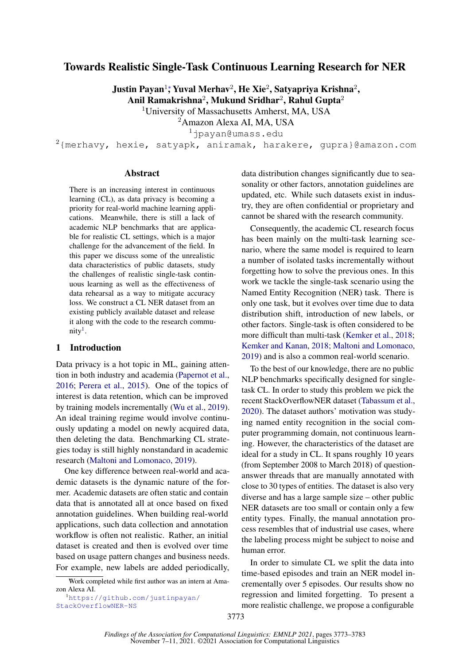# Towards Realistic Single-Task Continuous Learning Research for NER

Justin Payan $^{1\ast}$ Yuval Merhav $^{2}$ , He Xie $^{2}$ , Satyapriya Krishna $^{2}$ ,

Anil Ramakrishna $^2$ , Mukund Sridhar $^2$ , Rahul Gupta $^2$ 

<sup>1</sup>University of Massachusetts Amherst, MA, USA

<sup>2</sup>Amazon Alexa AI, MA, USA

<sup>1</sup>jpayan@umass.edu

 $2$ {merhavy, hexie, satyapk, aniramak, harakere, gupra}@amazon.com

#### Abstract

There is an increasing interest in continuous learning (CL), as data privacy is becoming a priority for real-world machine learning applications. Meanwhile, there is still a lack of academic NLP benchmarks that are applicable for realistic CL settings, which is a major challenge for the advancement of the field. In this paper we discuss some of the unrealistic data characteristics of public datasets, study the challenges of realistic single-task continuous learning as well as the effectiveness of data rehearsal as a way to mitigate accuracy loss. We construct a CL NER dataset from an existing publicly available dataset and release it along with the code to the research commu- $nity<sup>1</sup>$  $nity<sup>1</sup>$  $nity<sup>1</sup>$ .

#### 1 Introduction

Data privacy is a hot topic in ML, gaining attention in both industry and academia [\(Papernot et al.,](#page-5-0) [2016;](#page-5-0) [Perera et al.,](#page-5-1) [2015\)](#page-5-1). One of the topics of interest is data retention, which can be improved by training models incrementally [\(Wu et al.,](#page-5-2) [2019\)](#page-5-2). An ideal training regime would involve continuously updating a model on newly acquired data, then deleting the data. Benchmarking CL strategies today is still highly nonstandard in academic research [\(Maltoni and Lomonaco,](#page-5-3) [2019\)](#page-5-3).

One key difference between real-world and academic datasets is the dynamic nature of the former. Academic datasets are often static and contain data that is annotated all at once based on fixed annotation guidelines. When building real-world applications, such data collection and annotation workflow is often not realistic. Rather, an initial dataset is created and then is evolved over time based on usage pattern changes and business needs. For example, new labels are added periodically,

<span id="page-0-0"></span><sup>1</sup>[https://github.com/justinpayan/](https://github.com/justinpayan/StackOverflowNER-NS) [StackOverflowNER-NS](https://github.com/justinpayan/StackOverflowNER-NS)

data distribution changes significantly due to seasonality or other factors, annotation guidelines are updated, etc. While such datasets exist in industry, they are often confidential or proprietary and cannot be shared with the research community.

Consequently, the academic CL research focus has been mainly on the multi-task learning scenario, where the same model is required to learn a number of isolated tasks incrementally without forgetting how to solve the previous ones. In this work we tackle the single-task scenario using the Named Entity Recognition (NER) task. There is only one task, but it evolves over time due to data distribution shift, introduction of new labels, or other factors. Single-task is often considered to be more difficult than multi-task [\(Kemker et al.,](#page-5-4) [2018;](#page-5-4) [Kemker and Kanan,](#page-5-5) [2018;](#page-5-5) [Maltoni and Lomonaco,](#page-5-3) [2019\)](#page-5-3) and is also a common real-world scenario.

To the best of our knowledge, there are no public NLP benchmarks specifically designed for singletask CL. In order to study this problem we pick the recent StackOverflowNER dataset [\(Tabassum et al.,](#page-5-6) [2020\)](#page-5-6). The dataset authors' motivation was studying named entity recognition in the social computer programming domain, not continuous learning. However, the characteristics of the dataset are ideal for a study in CL. It spans roughly 10 years (from September 2008 to March 2018) of questionanswer threads that are manually annotated with close to 30 types of entities. The dataset is also very diverse and has a large sample size – other public NER datasets are too small or contain only a few entity types. Finally, the manual annotation process resembles that of industrial use cases, where the labeling process might be subject to noise and human error.

In order to simulate CL we split the data into time-based episodes and train an NER model incrementally over 5 episodes. Our results show no regression and limited forgetting. To present a more realistic challenge, we propose a configurable

<sup>∗</sup>Work completed while first author was an intern at Amazon Alexa AI.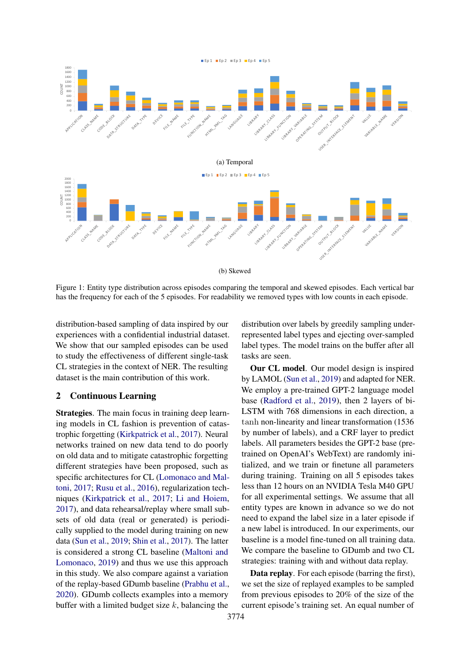<span id="page-1-0"></span>

Figure 1: Entity type distribution across episodes comparing the temporal and skewed episodes. Each vertical bar has the frequency for each of the 5 episodes. For readability we removed types with low counts in each episode.

distribution-based sampling of data inspired by our experiences with a confidential industrial dataset. We show that our sampled episodes can be used to study the effectiveness of different single-task CL strategies in the context of NER. The resulting dataset is the main contribution of this work.

## 2 Continuous Learning

Strategies. The main focus in training deep learning models in CL fashion is prevention of catastrophic forgetting [\(Kirkpatrick et al.,](#page-5-7) [2017\)](#page-5-7). Neural networks trained on new data tend to do poorly on old data and to mitigate catastrophic forgetting different strategies have been proposed, such as specific architectures for CL [\(Lomonaco and Mal](#page-5-8)[toni,](#page-5-8) [2017;](#page-5-8) [Rusu et al.,](#page-5-9) [2016\)](#page-5-9), regularization techniques [\(Kirkpatrick et al.,](#page-5-7) [2017;](#page-5-7) [Li and Hoiem,](#page-5-10) [2017\)](#page-5-10), and data rehearsal/replay where small subsets of old data (real or generated) is periodically supplied to the model during training on new data [\(Sun et al.,](#page-5-11) [2019;](#page-5-11) [Shin et al.,](#page-5-12) [2017\)](#page-5-12). The latter is considered a strong CL baseline [\(Maltoni and](#page-5-3) [Lomonaco,](#page-5-3) [2019\)](#page-5-3) and thus we use this approach in this study. We also compare against a variation of the replay-based GDumb baseline [\(Prabhu et al.,](#page-5-13) [2020\)](#page-5-13). GDumb collects examples into a memory buffer with a limited budget size  $k$ , balancing the

distribution over labels by greedily sampling underrepresented label types and ejecting over-sampled label types. The model trains on the buffer after all tasks are seen.

Our CL model. Our model design is inspired by LAMOL [\(Sun et al.,](#page-5-11) [2019\)](#page-5-11) and adapted for NER. We employ a pre-trained GPT-2 language model base [\(Radford et al.,](#page-5-14) [2019\)](#page-5-14), then 2 layers of bi-LSTM with 768 dimensions in each direction, a tanh non-linearity and linear transformation (1536 by number of labels), and a CRF layer to predict labels. All parameters besides the GPT-2 base (pretrained on OpenAI's WebText) are randomly initialized, and we train or finetune all parameters during training. Training on all 5 episodes takes less than 12 hours on an NVIDIA Tesla M40 GPU for all experimental settings. We assume that all entity types are known in advance so we do not need to expand the label size in a later episode if a new label is introduced. In our experiments, our baseline is a model fine-tuned on all training data. We compare the baseline to GDumb and two CL strategies: training with and without data replay.

Data replay. For each episode (barring the first), we set the size of replayed examples to be sampled from previous episodes to 20% of the size of the current episode's training set. An equal number of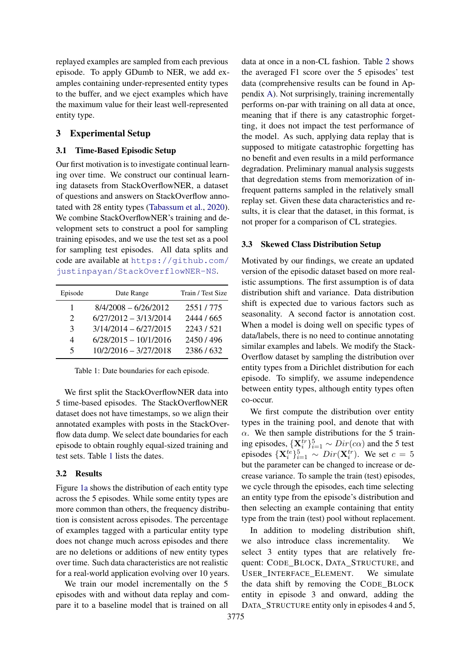replayed examples are sampled from each previous episode. To apply GDumb to NER, we add examples containing under-represented entity types to the buffer, and we eject examples which have the maximum value for their least well-represented entity type.

# 3 Experimental Setup

### 3.1 Time-Based Episodic Setup

Our first motivation is to investigate continual learning over time. We construct our continual learning datasets from StackOverflowNER, a dataset of questions and answers on StackOverflow annotated with 28 entity types [\(Tabassum et al.,](#page-5-6) [2020\)](#page-5-6). We combine StackOverflowNER's training and development sets to construct a pool for sampling training episodes, and we use the test set as a pool for sampling test episodes. All data splits and code are available at [https://github.com/](https://github.com/justinpayan/StackOverflowNER-NS) [justinpayan/StackOverflowNER-NS](https://github.com/justinpayan/StackOverflowNER-NS).

<span id="page-2-0"></span>

| Episode                     | Date Range              | Train / Test Size |
|-----------------------------|-------------------------|-------------------|
| 1                           | $8/4/2008 - 6/26/2012$  | 2551/775          |
| $\mathcal{D}_{\mathcal{L}}$ | $6/27/2012 - 3/13/2014$ | 2444 / 665        |
| 3                           | $3/14/2014 - 6/27/2015$ | 2243/521          |
| 4                           | $6/28/2015 - 10/1/2016$ | 2450/496          |
| $\varsigma$                 | $10/2/2016 - 3/27/2018$ | 2386/632          |

Table 1: Date boundaries for each episode.

We first split the StackOverflowNER data into 5 time-based episodes. The StackOverflowNER dataset does not have timestamps, so we align their annotated examples with posts in the StackOverflow data dump. We select date boundaries for each episode to obtain roughly equal-sized training and test sets. Table [1](#page-2-0) lists the dates.

#### 3.2 Results

Figure [1a](#page-1-0) shows the distribution of each entity type across the 5 episodes. While some entity types are more common than others, the frequency distribution is consistent across episodes. The percentage of examples tagged with a particular entity type does not change much across episodes and there are no deletions or additions of new entity types over time. Such data characteristics are not realistic for a real-world application evolving over 10 years.

We train our model incrementally on the 5 episodes with and without data replay and compare it to a baseline model that is trained on all

data at once in a non-CL fashion. Table [2](#page-3-0) shows the averaged F1 score over the 5 episodes' test data (comprehensive results can be found in Appendix [A\)](#page-6-0). Not surprisingly, training incrementally performs on-par with training on all data at once, meaning that if there is any catastrophic forgetting, it does not impact the test performance of the model. As such, applying data replay that is supposed to mitigate catastrophic forgetting has no benefit and even results in a mild performance degradation. Preliminary manual analysis suggests that degredation stems from memorization of infrequent patterns sampled in the relatively small replay set. Given these data characteristics and results, it is clear that the dataset, in this format, is not proper for a comparison of CL strategies.

#### 3.3 Skewed Class Distribution Setup

Motivated by our findings, we create an updated version of the episodic dataset based on more realistic assumptions. The first assumption is of data distribution shift and variance. Data distribution shift is expected due to various factors such as seasonality. A second factor is annotation cost. When a model is doing well on specific types of data/labels, there is no need to continue annotating similar examples and labels. We modify the Stack-Overflow dataset by sampling the distribution over entity types from a Dirichlet distribution for each episode. To simplify, we assume independence between entity types, although entity types often co-occur.

We first compute the distribution over entity types in the training pool, and denote that with  $\alpha$ . We then sample distributions for the 5 training episodes,  $\{X_i^{tr}\}_{i=1}^5 \sim Dir(c\alpha)$  and the 5 test episodes  $\{X_i^{te}\}_{i=1}^5 \sim Dir(X_i^{tr})$ . We set  $c = 5$ but the parameter can be changed to increase or decrease variance. To sample the train (test) episodes, we cycle through the episodes, each time selecting an entity type from the episode's distribution and then selecting an example containing that entity type from the train (test) pool without replacement.

In addition to modeling distribution shift, we also introduce class incrementality. We select 3 entity types that are relatively frequent: CODE\_BLOCK, DATA\_STRUCTURE, and USER\_INTERFACE\_ELEMENT. We simulate the data shift by removing the CODE\_BLOCK entity in episode 3 and onward, adding the DATA\_STRUCTURE entity only in episodes 4 and 5,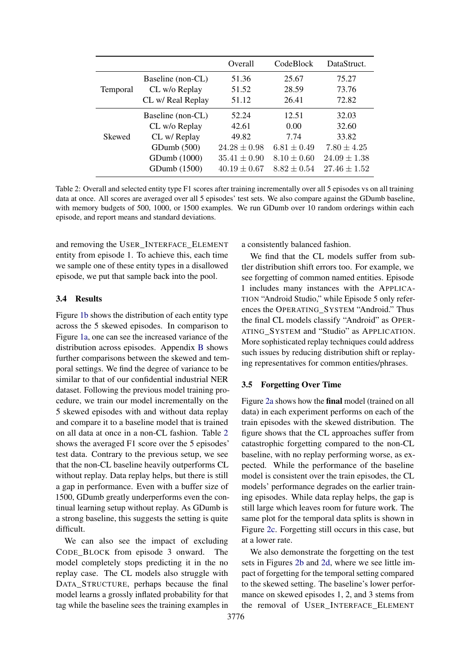<span id="page-3-0"></span>

|                 |                   | Overall          | CodeBlock       | DataStruct.      |
|-----------------|-------------------|------------------|-----------------|------------------|
|                 | Baseline (non-CL) | 51.36            | 25.67           | 75.27            |
| <b>Temporal</b> | CL w/o Replay     | 51.52            | 28.59           | 73.76            |
|                 | CL w/ Real Replay | 51.12            | 26.41           | 72.82            |
|                 | Baseline (non-CL) | 52.24            | 12.51           | 32.03            |
| Skewed          | CL w/o Replay     | 42.61            | 0.00            | 32.60            |
|                 | CL w/ Replay      | 49.82            | 7.74            | 33.82            |
|                 | GDumb(500)        | $24.28 \pm 0.98$ | $6.81 \pm 0.49$ | $7.80 \pm 4.25$  |
|                 | GDumb (1000)      | $35.41 \pm 0.90$ | $8.10 \pm 0.60$ | $24.09 \pm 1.38$ |
|                 | GDumb (1500)      | $40.19 \pm 0.67$ | $8.82 \pm 0.54$ | $27.46 \pm 1.52$ |

Table 2: Overall and selected entity type F1 scores after training incrementally over all 5 episodes vs on all training data at once. All scores are averaged over all 5 episodes' test sets. We also compare against the GDumb baseline, with memory budgets of 500, 1000, or 1500 examples. We run GDumb over 10 random orderings within each episode, and report means and standard deviations.

and removing the USER\_INTERFACE\_ELEMENT entity from episode 1. To achieve this, each time we sample one of these entity types in a disallowed episode, we put that sample back into the pool.

## 3.4 Results

Figure [1b](#page-1-0) shows the distribution of each entity type across the 5 skewed episodes. In comparison to Figure [1a,](#page-1-0) one can see the increased variance of the distribution across episodes. Appendix [B](#page-6-1) shows further comparisons between the skewed and temporal settings. We find the degree of variance to be similar to that of our confidential industrial NER dataset. Following the previous model training procedure, we train our model incrementally on the 5 skewed episodes with and without data replay and compare it to a baseline model that is trained on all data at once in a non-CL fashion. Table [2](#page-3-0) shows the averaged F1 score over the 5 episodes' test data. Contrary to the previous setup, we see that the non-CL baseline heavily outperforms CL without replay. Data replay helps, but there is still a gap in performance. Even with a buffer size of 1500, GDumb greatly underperforms even the continual learning setup without replay. As GDumb is a strong baseline, this suggests the setting is quite difficult.

We can also see the impact of excluding CODE\_BLOCK from episode 3 onward. The model completely stops predicting it in the no replay case. The CL models also struggle with DATA STRUCTURE, perhaps because the final model learns a grossly inflated probability for that tag while the baseline sees the training examples in a consistently balanced fashion.

We find that the CL models suffer from subtler distribution shift errors too. For example, we see forgetting of common named entities. Episode 1 includes many instances with the APPLICA-TION "Android Studio," while Episode 5 only references the OPERATING\_SYSTEM "Android." Thus the final CL models classify "Android" as OPER-ATING\_SYSTEM and "Studio" as APPLICATION. More sophisticated replay techniques could address such issues by reducing distribution shift or replaying representatives for common entities/phrases.

### 3.5 Forgetting Over Time

Figure [2a](#page-4-0) shows how the final model (trained on all data) in each experiment performs on each of the train episodes with the skewed distribution. The figure shows that the CL approaches suffer from catastrophic forgetting compared to the non-CL baseline, with no replay performing worse, as expected. While the performance of the baseline model is consistent over the train episodes, the CL models' performance degrades on the earlier training episodes. While data replay helps, the gap is still large which leaves room for future work. The same plot for the temporal data splits is shown in Figure [2c.](#page-4-0) Forgetting still occurs in this case, but at a lower rate.

We also demonstrate the forgetting on the test sets in Figures [2b](#page-4-0) and [2d,](#page-4-0) where we see little impact of forgetting for the temporal setting compared to the skewed setting. The baseline's lower performance on skewed episodes 1, 2, and 3 stems from the removal of USER\_INTERFACE\_ELEMENT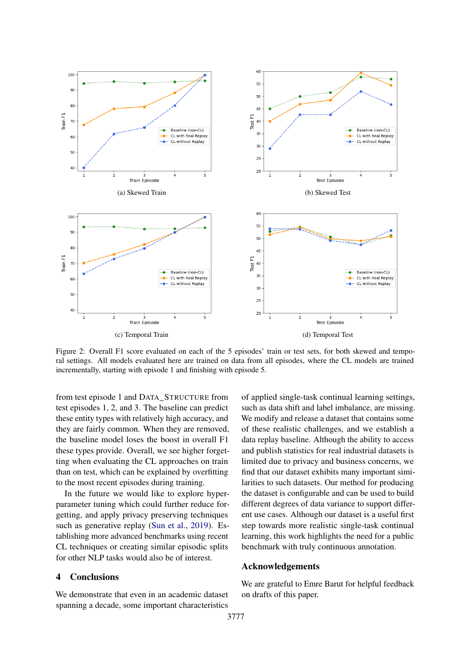<span id="page-4-0"></span>

Figure 2: Overall F1 score evaluated on each of the 5 episodes' train or test sets, for both skewed and temporal settings. All models evaluated here are trained on data from all episodes, where the CL models are trained incrementally, starting with episode 1 and finishing with episode 5.

from test episode 1 and DATA\_STRUCTURE from test episodes 1, 2, and 3. The baseline can predict these entity types with relatively high accuracy, and they are fairly common. When they are removed, the baseline model loses the boost in overall F1 these types provide. Overall, we see higher forgetting when evaluating the CL approaches on train than on test, which can be explained by overfitting to the most recent episodes during training.

In the future we would like to explore hyperparameter tuning which could further reduce forgetting, and apply privacy preserving techniques such as generative replay [\(Sun et al.,](#page-5-11) [2019\)](#page-5-11). Establishing more advanced benchmarks using recent CL techniques or creating similar episodic splits for other NLP tasks would also be of interest.

## 4 Conclusions

We demonstrate that even in an academic dataset spanning a decade, some important characteristics

of applied single-task continual learning settings, such as data shift and label imbalance, are missing. We modify and release a dataset that contains some of these realistic challenges, and we establish a data replay baseline. Although the ability to access and publish statistics for real industrial datasets is limited due to privacy and business concerns, we find that our dataset exhibits many important similarities to such datasets. Our method for producing the dataset is configurable and can be used to build different degrees of data variance to support different use cases. Although our dataset is a useful first step towards more realistic single-task continual learning, this work highlights the need for a public benchmark with truly continuous annotation.

### Acknowledgements

We are grateful to Emre Barut for helpful feedback on drafts of this paper.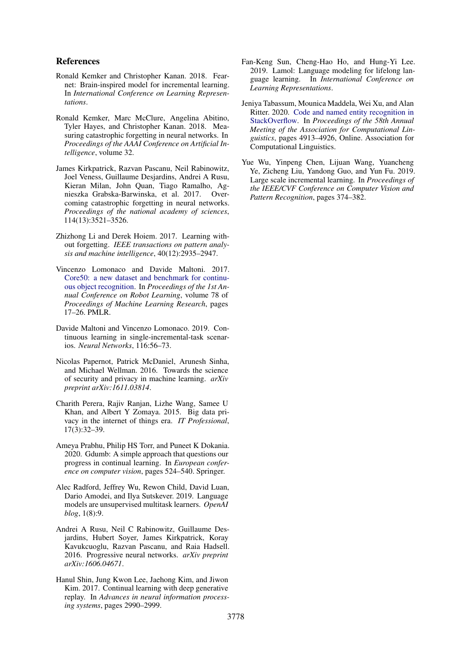## References

- <span id="page-5-5"></span>Ronald Kemker and Christopher Kanan. 2018. Fearnet: Brain-inspired model for incremental learning. In *International Conference on Learning Representations*.
- <span id="page-5-4"></span>Ronald Kemker, Marc McClure, Angelina Abitino, Tyler Hayes, and Christopher Kanan. 2018. Measuring catastrophic forgetting in neural networks. In *Proceedings of the AAAI Conference on Artificial Intelligence*, volume 32.
- <span id="page-5-7"></span>James Kirkpatrick, Razvan Pascanu, Neil Rabinowitz, Joel Veness, Guillaume Desjardins, Andrei A Rusu, Kieran Milan, John Quan, Tiago Ramalho, Agnieszka Grabska-Barwinska, et al. 2017. Overcoming catastrophic forgetting in neural networks. *Proceedings of the national academy of sciences*, 114(13):3521–3526.
- <span id="page-5-10"></span>Zhizhong Li and Derek Hoiem. 2017. Learning without forgetting. *IEEE transactions on pattern analysis and machine intelligence*, 40(12):2935–2947.
- <span id="page-5-8"></span>Vincenzo Lomonaco and Davide Maltoni. 2017. [Core50: a new dataset and benchmark for continu](http://proceedings.mlr.press/v78/lomonaco17a.html)[ous object recognition.](http://proceedings.mlr.press/v78/lomonaco17a.html) In *Proceedings of the 1st Annual Conference on Robot Learning*, volume 78 of *Proceedings of Machine Learning Research*, pages 17–26. PMLR.
- <span id="page-5-3"></span>Davide Maltoni and Vincenzo Lomonaco. 2019. Continuous learning in single-incremental-task scenarios. *Neural Networks*, 116:56–73.
- <span id="page-5-0"></span>Nicolas Papernot, Patrick McDaniel, Arunesh Sinha, and Michael Wellman. 2016. Towards the science of security and privacy in machine learning. *arXiv preprint arXiv:1611.03814*.
- <span id="page-5-1"></span>Charith Perera, Rajiv Ranjan, Lizhe Wang, Samee U Khan, and Albert Y Zomaya. 2015. Big data privacy in the internet of things era. *IT Professional*, 17(3):32–39.
- <span id="page-5-13"></span>Ameya Prabhu, Philip HS Torr, and Puneet K Dokania. 2020. Gdumb: A simple approach that questions our progress in continual learning. In *European conference on computer vision*, pages 524–540. Springer.
- <span id="page-5-14"></span>Alec Radford, Jeffrey Wu, Rewon Child, David Luan, Dario Amodei, and Ilya Sutskever. 2019. Language models are unsupervised multitask learners. *OpenAI blog*, 1(8):9.
- <span id="page-5-9"></span>Andrei A Rusu, Neil C Rabinowitz, Guillaume Desjardins, Hubert Soyer, James Kirkpatrick, Koray Kavukcuoglu, Razvan Pascanu, and Raia Hadsell. 2016. Progressive neural networks. *arXiv preprint arXiv:1606.04671*.
- <span id="page-5-12"></span>Hanul Shin, Jung Kwon Lee, Jaehong Kim, and Jiwon Kim. 2017. Continual learning with deep generative replay. In *Advances in neural information processing systems*, pages 2990–2999.
- <span id="page-5-11"></span>Fan-Keng Sun, Cheng-Hao Ho, and Hung-Yi Lee. 2019. Lamol: Language modeling for lifelong language learning. In *International Conference on Learning Representations*.
- <span id="page-5-6"></span>Jeniya Tabassum, Mounica Maddela, Wei Xu, and Alan Ritter. 2020. [Code and named entity recognition in](https://doi.org/10.18653/v1/2020.acl-main.443) [StackOverflow.](https://doi.org/10.18653/v1/2020.acl-main.443) In *Proceedings of the 58th Annual Meeting of the Association for Computational Linguistics*, pages 4913–4926, Online. Association for Computational Linguistics.
- <span id="page-5-2"></span>Yue Wu, Yinpeng Chen, Lijuan Wang, Yuancheng Ye, Zicheng Liu, Yandong Guo, and Yun Fu. 2019. Large scale incremental learning. In *Proceedings of the IEEE/CVF Conference on Computer Vision and Pattern Recognition*, pages 374–382.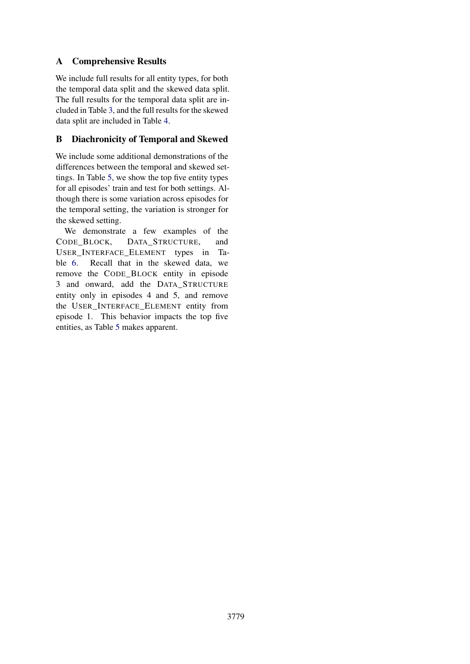# <span id="page-6-0"></span>A Comprehensive Results

We include full results for all entity types, for both the temporal data split and the skewed data split. The full results for the temporal data split are included in Table [3,](#page-7-0) and the full results for the skewed data split are included in Table [4.](#page-8-0)

# <span id="page-6-1"></span>B Diachronicity of Temporal and Skewed

We include some additional demonstrations of the differences between the temporal and skewed settings. In Table [5,](#page-9-0) we show the top five entity types for all episodes' train and test for both settings. Although there is some variation across episodes for the temporal setting, the variation is stronger for the skewed setting.

We demonstrate a few examples of the CODE\_BLOCK, DATA\_STRUCTURE, and USER\_INTERFACE\_ELEMENT types in Table [6.](#page-10-0) Recall that in the skewed data, we remove the CODE\_BLOCK entity in episode 3 and onward, add the DATA\_STRUCTURE entity only in episodes 4 and 5, and remove the USER\_INTERFACE\_ELEMENT entity from episode 1. This behavior impacts the top five entities, as Table [5](#page-9-0) makes apparent.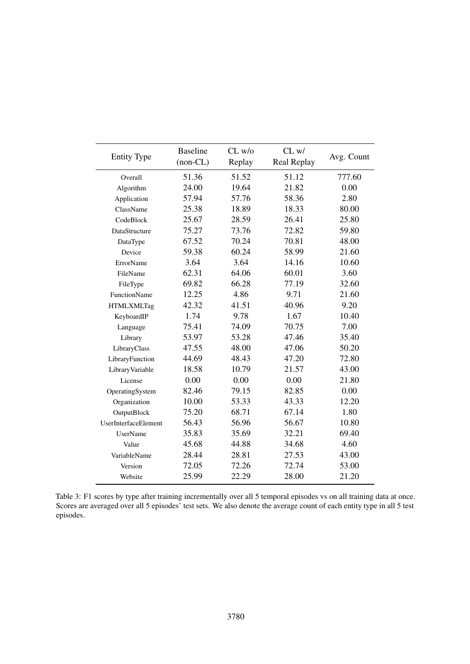<span id="page-7-0"></span>

| <b>Entity Type</b>   | <b>Baseline</b><br>$(non-CL)$ | $CL$ w/o<br>Replay | CL w/<br>Real Replay | Avg. Count |
|----------------------|-------------------------------|--------------------|----------------------|------------|
| Overall              | 51.36                         | 51.52              | 51.12                | 777.60     |
| Algorithm            | 24.00                         | 19.64              | 21.82                | 0.00       |
| Application          | 57.94                         | 57.76              | 58.36                | 2.80       |
| ClassName            | 25.38                         | 18.89              | 18.33                | 80.00      |
| CodeBlock            | 25.67                         | 28.59              | 26.41                | 25.80      |
| DataStructure        | 75.27                         | 73.76              | 72.82                | 59.80      |
| DataType             | 67.52                         | 70.24              | 70.81                | 48.00      |
| Device               | 59.38                         | 60.24              | 58.99                | 21.60      |
| ErrorName            | 3.64                          | 3.64               | 14.16                | 10.60      |
| FileName             | 62.31                         | 64.06              | 60.01                | 3.60       |
| FileType             | 69.82                         | 66.28              | 77.19                | 32.60      |
| <b>FunctionName</b>  | 12.25                         | 4.86               | 9.71                 | 21.60      |
| <b>HTMLXMLTag</b>    | 42.32                         | 41.51              | 40.96                | 9.20       |
| KeyboardIP           | 1.74                          | 9.78               | 1.67                 | 10.40      |
| Language             | 75.41                         | 74.09              | 70.75                | 7.00       |
| Library              | 53.97                         | 53.28              | 47.46                | 35.40      |
| LibraryClass         | 47.55                         | 48.00              | 47.06                | 50.20      |
| LibraryFunction      | 44.69                         | 48.43              | 47.20                | 72.80      |
| Library Variable     | 18.58                         | 10.79              | 21.57                | 43.00      |
| License              | 0.00                          | 0.00               | 0.00                 | 21.80      |
| OperatingSystem      | 82.46                         | 79.15              | 82.85                | 0.00       |
| Organization         | 10.00                         | 53.33              | 43.33                | 12.20      |
| OutputBlock          | 75.20                         | 68.71              | 67.14                | 1.80       |
| UserInterfaceElement | 56.43                         | 56.96              | 56.67                | 10.80      |
| <b>UserName</b>      | 35.83                         | 35.69              | 32.21                | 69.40      |
| Value                | 45.68                         | 44.88              | 34.68                | 4.60       |
| VariableName         | 28.44                         | 28.81              | 27.53                | 43.00      |
| Version              | 72.05                         | 72.26              | 72.74                | 53.00      |
| Website              | 25.99                         | 22.29              | 28.00                | 21.20      |

Table 3: F1 scores by type after training incrementally over all 5 temporal episodes vs on all training data at once. Scores are averaged over all 5 episodes' test sets. We also denote the average count of each entity type in all 5 test episodes.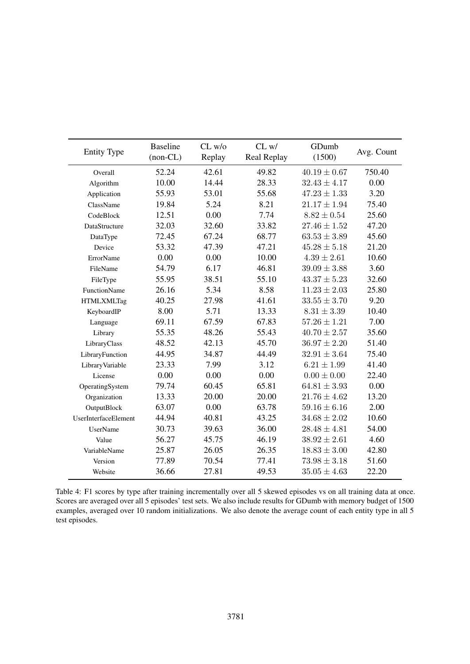<span id="page-8-0"></span>

| <b>Entity Type</b>   | <b>Baseline</b><br>$(non-CL)$ | $CL$ w/o<br>Replay | CL w/<br>Real Replay | GDumb<br>(1500)  | Avg. Count |
|----------------------|-------------------------------|--------------------|----------------------|------------------|------------|
| Overall              | 52.24                         | 42.61              | 49.82                | $40.19 \pm 0.67$ | 750.40     |
| Algorithm            | 10.00                         | 14.44              | 28.33                | $32.43 \pm 4.17$ | 0.00       |
| Application          | 55.93                         | 53.01              | 55.68                | $47.23 \pm 1.33$ | 3.20       |
| ClassName            | 19.84                         | 5.24               | 8.21                 | $21.17 \pm 1.94$ | 75.40      |
| CodeBlock            | 12.51                         | 0.00               | 7.74                 | $8.82 \pm 0.54$  | 25.60      |
| DataStructure        | 32.03                         | 32.60              | 33.82                | $27.46 \pm 1.52$ | 47.20      |
| DataType             | 72.45                         | 67.24              | 68.77                | $63.53 \pm 3.89$ | 45.60      |
| Device               | 53.32                         | 47.39              | 47.21                | $45.28 \pm 5.18$ | 21.20      |
| ErrorName            | 0.00                          | 0.00               | 10.00                | $4.39 \pm 2.61$  | 10.60      |
| FileName             | 54.79                         | 6.17               | 46.81                | $39.09 \pm 3.88$ | 3.60       |
| FileType             | 55.95                         | 38.51              | 55.10                | $43.37 \pm 5.23$ | 32.60      |
| <b>FunctionName</b>  | 26.16                         | 5.34               | 8.58                 | $11.23 \pm 2.03$ | 25.80      |
| <b>HTMLXMLTag</b>    | 40.25                         | 27.98              | 41.61                | $33.55 \pm 3.70$ | 9.20       |
| KeyboardIP           | 8.00                          | 5.71               | 13.33                | $8.31 \pm 3.39$  | 10.40      |
| Language             | 69.11                         | 67.59              | 67.83                | $57.26 \pm 1.21$ | 7.00       |
| Library              | 55.35                         | 48.26              | 55.43                | $40.70 \pm 2.57$ | 35.60      |
| LibraryClass         | 48.52                         | 42.13              | 45.70                | $36.97 \pm 2.20$ | 51.40      |
| LibraryFunction      | 44.95                         | 34.87              | 44.49                | $32.91 \pm 3.64$ | 75.40      |
| LibraryVariable      | 23.33                         | 7.99               | 3.12                 | $6.21 \pm 1.99$  | 41.40      |
| License              | 0.00                          | 0.00               | 0.00                 | $0.00 \pm 0.00$  | 22.40      |
| OperatingSystem      | 79.74                         | 60.45              | 65.81                | $64.81 \pm 3.93$ | 0.00       |
| Organization         | 13.33                         | 20.00              | 20.00                | $21.76 \pm 4.62$ | 13.20      |
| OutputBlock          | 63.07                         | 0.00               | 63.78                | $59.16 \pm 6.16$ | 2.00       |
| UserInterfaceElement | 44.94                         | 40.81              | 43.25                | $34.68 \pm 2.02$ | 10.60      |
| UserName             | 30.73                         | 39.63              | 36.00                | $28.48 \pm 4.81$ | 54.00      |
| Value                | 56.27                         | 45.75              | 46.19                | $38.92 \pm 2.61$ | 4.60       |
| VariableName         | 25.87                         | 26.05              | 26.35                | $18.83 \pm 3.00$ | 42.80      |
| Version              | 77.89                         | 70.54              | 77.41                | $73.98 \pm 3.18$ | 51.60      |
| Website              | 36.66                         | 27.81              | 49.53                | $35.05 \pm 4.63$ | 22.20      |

Table 4: F1 scores by type after training incrementally over all 5 skewed episodes vs on all training data at once. Scores are averaged over all 5 episodes' test sets. We also include results for GDumb with memory budget of 1500 examples, averaged over 10 random initializations. We also denote the average count of each entity type in all 5 test episodes.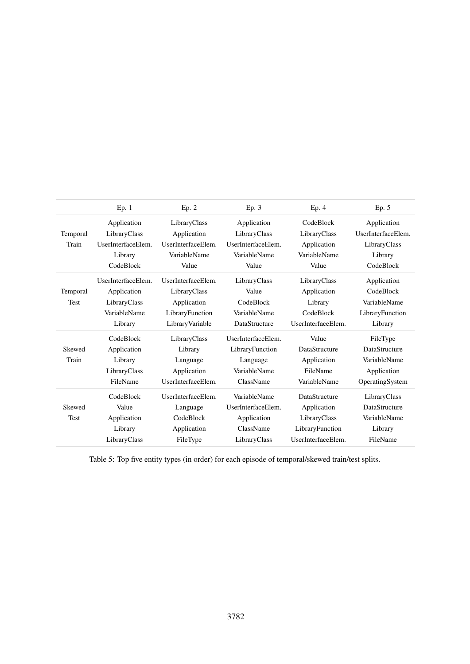<span id="page-9-0"></span>

|                   | Ep. 1                                                                        | Ep. 2                                                                                    | Ep. 3                                                                          | Ep. 4                                                                                 | Ep. 5                                                                              |
|-------------------|------------------------------------------------------------------------------|------------------------------------------------------------------------------------------|--------------------------------------------------------------------------------|---------------------------------------------------------------------------------------|------------------------------------------------------------------------------------|
| Temporal<br>Train | Application<br>LibraryClass<br>UserInterfaceElem.                            | LibraryClass<br>Application<br>UserInterfaceElem.                                        | Application<br>LibraryClass<br>UserInterfaceElem.                              | CodeBlock<br>LibraryClass<br>Application                                              | Application<br>UserInterfaceElem.<br>LibraryClass                                  |
|                   | Library<br>CodeBlock                                                         | VariableName<br>Value                                                                    | VariableName<br>Value                                                          | VariableName<br>Value                                                                 | Library<br>CodeBlock                                                               |
| Temporal<br>Test  | UserInterfaceElem.<br>Application<br>LibraryClass<br>VariableName<br>Library | UserInterfaceElem.<br>LibraryClass<br>Application<br>LibraryFunction<br>Library Variable | LibraryClass<br>Value<br>CodeBlock<br>VariableName<br>DataStructure            | LibraryClass<br>Application<br>Library<br>CodeBlock<br>UserInterfaceElem.             | Application<br>CodeBlock<br>VariableName<br>LibraryFunction<br>Library             |
| Skewed<br>Train   | CodeBlock<br>Application<br>Library<br>LibraryClass<br>FileName              | LibraryClass<br>Library<br>Language<br>Application<br>UserInterfaceElem.                 | UserInterfaceElem.<br>LibraryFunction<br>Language<br>VariableName<br>ClassName | Value<br>DataStructure<br>Application<br>FileName<br>VariableName                     | FileType<br><b>DataStructure</b><br>VariableName<br>Application<br>OperatingSystem |
| Skewed<br>Test    | CodeBlock<br>Value<br>Application<br>Library<br>LibraryClass                 | UserInterfaceElem.<br>Language<br>CodeBlock<br>Application<br>FileType                   | VariableName<br>UserInterfaceElem.<br>Application<br>ClassName<br>LibraryClass | DataStructure<br>Application<br>LibraryClass<br>LibraryFunction<br>UserInterfaceElem. | LibraryClass<br>DataStructure<br>VariableName<br>Library<br>FileName               |

Table 5: Top five entity types (in order) for each episode of temporal/skewed train/test splits.